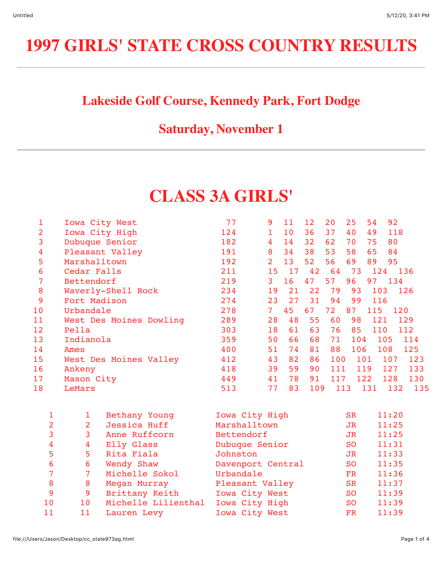# **1997 GIRLS' STATE CROSS COUNTRY RESULTS**

### **Lakeside Golf Course, Kennedy Park, Fort Dodge**

#### **Saturday, November 1**

## **CLASS 3A GIRLS'**

| 1               | Iowa City West          | 77  | 9              | 11 | 12 <sup>°</sup> | 20  | 25  | 54  | 92  |     |
|-----------------|-------------------------|-----|----------------|----|-----------------|-----|-----|-----|-----|-----|
| 2               | Iowa City High          | 124 |                | 10 | 36              | 37  | 40  | 49  | 118 |     |
| 3               | Dubuque Senior          | 182 | 4              | 14 | 32              | 62  | 70  | 75  | 80  |     |
| 4               | Pleasant Valley         | 191 | 8              | 34 | 38              | 53  | 58  | 65  | 84  |     |
| 5               | Marshalltown            | 192 | $\overline{2}$ | 13 | 52              | 56  | 69  | 89  | 95  |     |
| 6               | Cedar Falls             | 211 | 15             | 17 | 42              | 64  | 73  | 124 | 136 |     |
| 7               | Bettendorf              | 219 | 3              | 16 | 47              | 57  | 96  | 97  | 134 |     |
| 8               | Waverly-Shell Rock      | 234 | 19             | 21 | 22              | 79  | 93  | 103 |     | 126 |
| 9               | Fort Madison            | 274 | 23             | 27 | 31              | 94  | 99  | 116 |     |     |
| 10 <sup>°</sup> | Urbandale               | 278 | 7 <sup>1</sup> | 45 | 67              | 72  | 87  | 115 | 120 |     |
| 11              | West Des Moines Dowling | 289 | 28             | 48 | 55              | 60  | 98  | 121 |     | 129 |
| 12              | Pella                   | 303 | 18             | 61 | 63              | 76  | 85  | 110 |     | 112 |
| 13              | Indianola               | 359 | 50             | 66 | 68              | 71  | 104 | 105 |     | 114 |
| 14              | Ames                    | 400 | 51             | 74 | 81              | 88  | 106 | 108 |     | 125 |
| 15              | West Des Moines Valley  | 412 | 43             | 82 | 86              | 100 |     | 101 | 107 | 123 |
| 16              | Ankeny                  | 418 | 39             | 59 | 90              | 111 |     | 119 | 127 | 133 |
| 17              | Mason City              | 449 | 41             | 78 | 91              | 117 |     | 122 | 128 | 130 |
| 18              | LeMars                  | 513 | 77             | 83 | 109             | 113 |     | 131 | 132 | 135 |

|    | Bethany Young       | Iowa City High    | <b>SR</b> | 11:20 |
|----|---------------------|-------------------|-----------|-------|
| 2  | Jessica Huff        | Marshalltown      | JR.       | 11:25 |
|    | Anne Ruffcorn       | Bettendorf        | JR.       | 11:25 |
| 4  | Elly Glass          | Dubuque Senior    | SO.       | 11:31 |
| 5. | Rita Fiala          | Johnston          | JR.       | 11:33 |
| 6  | Wendy Shaw          | Davenport Central | <b>SO</b> | 11:35 |
|    | Michelle Sokol      | Urbandale         | <b>FR</b> | 11:36 |
| 8  | Megan Murray        | Pleasant Valley   | <b>SR</b> | 11:37 |
| 9  | Brittany Keith      | Iowa City West    | SO.       | 11:39 |
| 10 | Michelle Lilienthal | Iowa City High    | <b>SO</b> | 11:39 |
| 11 | Lauren Levy         | Iowa City West    | FR        | 11:39 |
|    |                     |                   |           |       |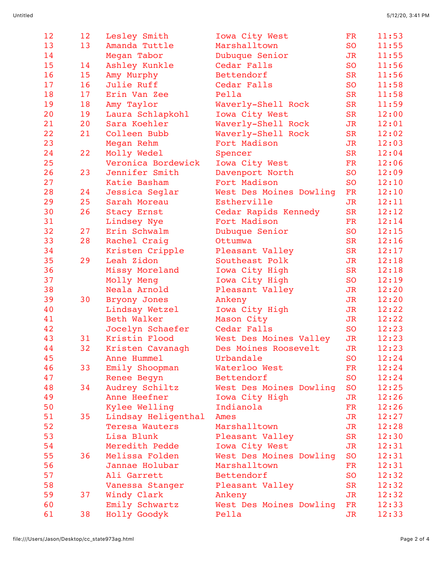| 12 | 12 | Lesley Smith        | Iowa City West          | FR             | 11:53 |
|----|----|---------------------|-------------------------|----------------|-------|
| 13 | 13 | Amanda Tuttle       | Marshalltown            | <b>SO</b>      | 11:55 |
| 14 |    | Megan Tabor         | Dubuque Senior          | <b>JR</b>      | 11:55 |
| 15 | 14 | Ashley Kunkle       | Cedar Falls             | <b>SO</b>      | 11:56 |
| 16 | 15 | Amy Murphy          | Bettendorf              | <b>SR</b>      | 11:56 |
| 17 | 16 | Julie Ruff          | Cedar Falls             | <b>SO</b>      | 11:58 |
| 18 | 17 | Erin Van Zee        | Pella                   | <b>SR</b>      | 11:58 |
| 19 | 18 | Amy Taylor          | Waverly-Shell Rock      | <b>SR</b>      | 11:59 |
| 20 | 19 | Laura Schlapkohl    | Iowa City West          | <b>SR</b>      | 12:00 |
| 21 | 20 | Sara Koehler        | Waverly-Shell Rock      | JR             | 12:01 |
| 22 | 21 | Colleen Bubb        | Waverly-Shell Rock      | <b>SR</b>      | 12:02 |
| 23 |    | Megan Rehm          | Fort Madison            | <b>JR</b>      | 12:03 |
| 24 | 22 | Molly Wedel         | Spencer                 | <b>SR</b>      | 12:04 |
| 25 |    | Veronica Bordewick  | Iowa City West          | FR             | 12:06 |
| 26 | 23 | Jennifer Smith      | Davenport North         | <b>SO</b>      | 12:09 |
| 27 |    | Katie Basham        | Fort Madison            | <b>SO</b>      | 12:10 |
| 28 | 24 | Jessica Seglar      | West Des Moines Dowling | FR             | 12:10 |
| 29 | 25 | Sarah Moreau        | Estherville             | J <sub>R</sub> | 12:11 |
| 30 | 26 | Stacy Ernst         | Cedar Rapids Kennedy    | <b>SR</b>      | 12:12 |
| 31 |    | Lindsey Nye         | Fort Madison            | <b>FR</b>      | 12:14 |
| 32 | 27 | Erin Schwalm        | Dubuque Senior          | <b>SO</b>      | 12:15 |
| 33 | 28 | Rachel Craig        | Ottumwa                 | <b>SR</b>      | 12:16 |
| 34 |    | Kristen Cripple     | Pleasant Valley         | <b>SR</b>      | 12:17 |
| 35 | 29 | Leah Zidon          | Southeast Polk          | <b>JR</b>      | 12:18 |
| 36 |    | Missy Moreland      | Iowa City High          | <b>SR</b>      | 12:18 |
| 37 |    | Molly Meng          | Iowa City High          | <b>SO</b>      | 12:19 |
| 38 |    | Neala Arnold        | Pleasant Valley         | <b>JR</b>      | 12:20 |
| 39 | 30 | Bryony Jones        | Ankeny                  | <b>JR</b>      | 12:20 |
| 40 |    | Lindsay Wetzel      | Iowa City High          | <b>JR</b>      | 12:22 |
| 41 |    | Beth Walker         | Mason City              | <b>JR</b>      | 12:22 |
| 42 |    | Jocelyn Schaefer    | Cedar Falls             | <b>SO</b>      | 12:23 |
| 43 | 31 | Kristin Flood       | West Des Moines Valley  | J <sub>R</sub> | 12:23 |
| 44 | 32 | Kristen Cavanagh    | Des Moines Roosevelt    | <b>JR</b>      | 12:23 |
| 45 |    | Anne Hummel         | Urbandale               | <b>SO</b>      | 12:24 |
| 46 | 33 | Emily Shoopman      | Waterloo West           | <b>FR</b>      | 12:24 |
| 47 |    | Renee Begyn         | Bettendorf              | <b>SO</b>      | 12:24 |
| 48 | 34 | Audrey Schiltz      | West Des Moines Dowling | <b>SO</b>      | 12:25 |
| 49 |    | Anne Heefner        | Iowa City High          | <b>JR</b>      | 12:26 |
| 50 |    | Kylee Welling       | Indianola               | <b>FR</b>      | 12:26 |
| 51 | 35 | Lindsay Heligenthal | Ames                    | <b>JR</b>      | 12:27 |
| 52 |    | Teresa Wauters      | Marshalltown            | J <sub>R</sub> | 12:28 |
| 53 |    | Lisa Blunk          | Pleasant Valley         | <b>SR</b>      | 12:30 |
| 54 |    | Meredith Pedde      | Iowa City West          | JR             | 12:31 |
| 55 | 36 | Melissa Folden      | West Des Moines Dowling | <b>SO</b>      | 12:31 |
| 56 |    | Jannae Holubar      | Marshalltown            | FR             | 12:31 |
| 57 |    | Ali Garrett         | Bettendorf              | <b>SO</b>      | 12:32 |
| 58 |    | Vanessa Stanger     | Pleasant Valley         | <b>SR</b>      | 12:32 |
| 59 | 37 | Windy Clark         | Ankeny                  | <b>JR</b>      | 12:32 |
| 60 |    | Emily Schwartz      | West Des Moines Dowling | FR             | 12:33 |
| 61 | 38 | Holly Goodyk        | Pella                   | JR             | 12:33 |
|    |    |                     |                         |                |       |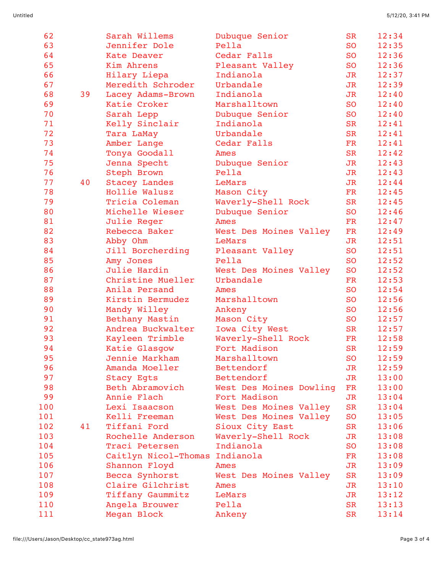| 62  |    | Sarah Willems        | Dubuque Senior          | <b>SR</b>      | 12:34 |
|-----|----|----------------------|-------------------------|----------------|-------|
| 63  |    | Jennifer Dole        | Pella                   | <b>SO</b>      | 12:35 |
| 64  |    | Kate Deaver          | Cedar Falls             | <b>SO</b>      | 12:36 |
| 65  |    | Kim Ahrens           | Pleasant Valley         | <b>SO</b>      | 12:36 |
| 66  |    | Hilary Liepa         | Indianola               | <b>JR</b>      | 12:37 |
| 67  |    | Meredith Schroder    | Urbandale               | J <sub>R</sub> | 12:39 |
| 68  | 39 | Lacey Adams-Brown    | Indianola               | <b>JR</b>      | 12:40 |
| 69  |    | Katie Croker         | Marshalltown            | <b>SO</b>      | 12:40 |
| 70  |    | Sarah Lepp           | Dubuque Senior          | <b>SO</b>      | 12:40 |
| 71  |    | Kelly Sinclair       | Indianola               | <b>SR</b>      | 12:41 |
| 72  |    | Tara LaMay           | Urbandale               | <b>SR</b>      | 12:41 |
| 73  |    | Amber Lange          | Cedar Falls             | FR             | 12:41 |
| 74  |    | Tonya Goodall        | Ames                    | <b>SR</b>      | 12:42 |
| 75  |    | Jenna Specht         | Dubuque Senior          | J <sub>R</sub> | 12:43 |
| 76  |    | Steph Brown          | Pella                   | J <sub>R</sub> | 12:43 |
| 77  | 40 | <b>Stacey Landes</b> | LeMars                  | J <sub>R</sub> | 12:44 |
| 78  |    | Hollie Walusz        | Mason City              | FR             | 12:45 |
| 79  |    | Tricia Coleman       | Waverly-Shell Rock      | <b>SR</b>      | 12:45 |
| 80  |    | Michelle Wieser      | Dubuque Senior          | <b>SO</b>      | 12:46 |
| 81  |    | Julie Reger          | Ames                    | <b>FR</b>      | 12:47 |
| 82  |    | Rebecca Baker        | West Des Moines Valley  | FR             | 12:49 |
| 83  |    | Abby Ohm             | LeMars                  | <b>JR</b>      | 12:51 |
| 84  |    | Jill Borcherding     | Pleasant Valley         | <b>SO</b>      | 12:51 |
| 85  |    | Amy Jones            | Pella                   | <b>SO</b>      | 12:52 |
| 86  |    | Julie Hardin         | West Des Moines Valley  | <b>SO</b>      | 12:52 |
| 87  |    | Christine Mueller    | Urbandale               | <b>FR</b>      | 12:53 |
| 88  |    | Anila Persand        | Ames                    | <b>SO</b>      | 12:54 |
| 89  |    | Kirstin Bermudez     | Marshalltown            | <b>SO</b>      | 12:56 |
| 90  |    | Mandy Willey         | Ankeny                  | <b>SO</b>      | 12:56 |
| 91  |    | Bethany Mastin       | Mason City              | <b>SO</b>      | 12:57 |
| 92  |    | Andrea Buckwalter    | Iowa City West          | <b>SR</b>      | 12:57 |
| 93  |    | Kayleen Trimble      | Waverly-Shell Rock      | FR             | 12:58 |
| 94  |    | Katie Glasgow        | Fort Madison            | <b>SR</b>      | 12:59 |
| 95  |    | Jennie Markham       | Marshalltown            | <b>SO</b>      | 12:59 |
| 96  |    | Amanda Moeller       | Bettendorf              | <b>JR</b>      | 12:59 |
| 97  |    | <b>Stacy Egts</b>    | Bettendorf              | <b>JR</b>      | 13:00 |
| 98  |    | Beth Abramovich      | West Des Moines Dowling | FR             | 13:00 |
| 99  |    | Annie Flach          | Fort Madison            | J <sub>R</sub> | 13:04 |
| 100 |    | Lexi Isaacson        | West Des Moines Valley  | <b>SR</b>      | 13:04 |
| 101 |    | Kelli Freeman        | West Des Moines Valley  | <b>SO</b>      | 13:05 |
| 102 | 41 | Tiffani Ford         | Sioux City East         | <b>SR</b>      | 13:06 |
| 103 |    | Rochelle Anderson    | Waverly-Shell Rock      | <b>JR</b>      | 13:08 |
| 104 |    | Traci Petersen       | Indianola               | <b>SO</b>      | 13:08 |
| 105 |    | Caitlyn Nicol-Thomas | Indianola               | FR             | 13:08 |
| 106 |    | Shannon Floyd        | Ames                    | <b>JR</b>      | 13:09 |
| 107 |    | Becca Synhorst       | West Des Moines Valley  | <b>SR</b>      | 13:09 |
| 108 |    | Claire Gilchrist     | Ames                    | <b>JR</b>      | 13:10 |
| 109 |    | Tiffany Gaummitz     | LeMars                  | <b>JR</b>      | 13:12 |
| 110 |    | Angela Brouwer       | Pella                   | <b>SR</b>      | 13:13 |
| 111 |    | Megan Block          | Ankeny                  | <b>SR</b>      | 13:14 |
|     |    |                      |                         |                |       |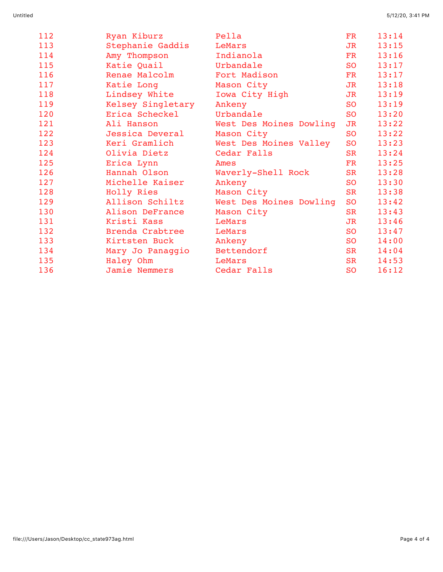| 112 | Ryan Kiburz       | Pella                   | <b>FR</b>                | 13:14 |
|-----|-------------------|-------------------------|--------------------------|-------|
| 113 | Stephanie Gaddis  | LeMars                  | $\overline{\mathrm{JR}}$ | 13:15 |
| 114 | Amy Thompson      | Indianola               | FR                       | 13:16 |
| 115 | Katie Quail       | Urbandale               | <b>SO</b>                | 13:17 |
| 116 | Renae Malcolm     | Fort Madison            | FR                       | 13:17 |
| 117 | Katie Long        | Mason City              | JR                       | 13:18 |
| 118 | Lindsey White     | Iowa City High          | JR                       | 13:19 |
| 119 | Kelsey Singletary | Ankeny                  | <b>SO</b>                | 13:19 |
| 120 | Erica Scheckel    | Urbandale               | SO                       | 13:20 |
| 121 | Ali Hanson        | West Des Moines Dowling | JR                       | 13:22 |
| 122 | Jessica Deveral   | Mason City              | SO <sub>0</sub>          | 13:22 |
| 123 | Keri Gramlich     | West Des Moines Valley  | <b>SO</b>                | 13:23 |
| 124 | Olivia Dietz      | Cedar Falls             | <b>SR</b>                | 13:24 |
| 125 | Erica Lynn        | Ames                    | $_{\rm FR}$              | 13:25 |
| 126 | Hannah Olson      | Waverly-Shell Rock      | <b>SR</b>                | 13:28 |
| 127 | Michelle Kaiser   | Ankeny                  | S <sub>O</sub>           | 13:30 |
| 128 | Holly Ries        | Mason City              | <b>SR</b>                | 13:38 |
| 129 | Allison Schiltz   | West Des Moines Dowling | <b>SO</b>                | 13:42 |
| 130 | Alison DeFrance   | Mason City              | SR                       | 13:43 |
| 131 | Kristi Kass       | LeMars                  | JR                       | 13:46 |
| 132 | Brenda Crabtree   | LeMars                  | <b>SO</b>                | 13:47 |
| 133 | Kirtsten Buck     | Ankeny                  | <b>SO</b>                | 14:00 |
| 134 | Mary Jo Panaggio  | Bettendorf              | <b>SR</b>                | 14:04 |
| 135 | Haley Ohm         | LeMars                  | SR                       | 14:53 |
| 136 | Jamie Nemmers     | Cedar Falls             | <b>SO</b>                | 16:12 |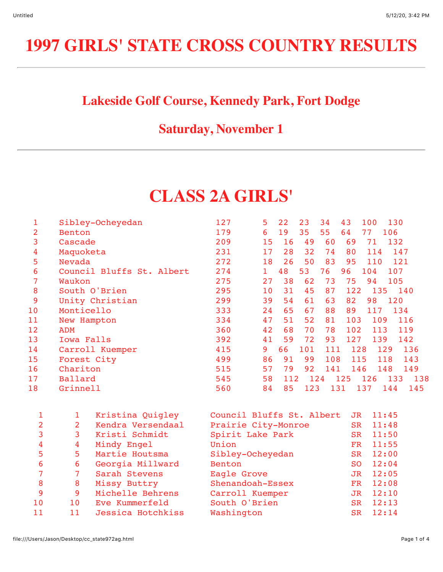# **1997 GIRLS' STATE CROSS COUNTRY RESULTS**

### **Lakeside Golf Course, Kennedy Park, Fort Dodge**

#### **Saturday, November 1**

## **CLASS 2A GIRLS'**

| 1  | Sibley-Ocheyedan          | 127 | 5  | 22  | 23  | 34  | 43  | 100        | 130 |     |
|----|---------------------------|-----|----|-----|-----|-----|-----|------------|-----|-----|
| 2  | Benton                    | 179 | 6  | 19  | 35  | 55  | 64  | 77         | 106 |     |
| 3  | Cascade                   | 209 | 15 | 16  | 49  | 60  | 69  | 71         | 132 |     |
| 4  | Maquoketa                 | 231 | 17 | 28  | 32  | 74  | 80  | 114        | 147 |     |
| 5  | Nevada                    | 272 | 18 | 26  | 50  | 83  | 95  | 110        | 121 |     |
| 6  | Council Bluffs St. Albert | 274 | 1. | 48  | 53  | 76  | 96  | 104        | 107 |     |
| 7  | Waukon                    | 275 | 27 | 38  | 62  | 73  | 75  | 94         | 105 |     |
| 8  | South O'Brien             | 295 | 10 | 31  | 45  | 87  | 122 | 135        |     | 140 |
| 9  | Unity Christian           | 299 | 39 | 54  | 61  | 63  | 82  | 98         | 120 |     |
| 10 | Monticello                | 333 | 24 | 65  | 67  | 88  | 89  | 117        | 134 |     |
| 11 | New Hampton               | 334 | 47 | 51  | 52  | 81  | 103 | 109        |     | 116 |
| 12 | <b>ADM</b>                | 360 | 42 | 68  | 70  | 78  | 102 | 113        |     | 119 |
| 13 | Iowa Falls                | 392 | 41 | 59  | 72  | 93  | 127 | 139        |     | 142 |
| 14 | Carroll Kuemper           | 415 | 9  | 66  | 101 | 111 |     | 128<br>129 |     | 136 |
| 15 | Forest City               | 499 | 86 | 91  | 99  | 108 |     | 115        | 118 | 143 |
| 16 | Chariton                  | 515 | 57 | 79  | 92  | 141 |     | 146        | 148 | 149 |
| 17 | Ballard                   | 545 | 58 | 112 | 124 |     | 125 | 126        | 133 | 138 |
| 18 | Grinnell                  | 560 | 84 | 85  | 123 | 131 |     | 137        | 144 | 145 |

|    |    | Kristina Quigley  | Council Bluffs St. Albert | JR.       | 11:45 |
|----|----|-------------------|---------------------------|-----------|-------|
| 2  | 2  | Kendra Versendaal | Prairie City-Monroe       | SR        | 11:48 |
| 3  | 3  | Kristi Schmidt    | Spirit Lake Park          | SR.       | 11:50 |
| 4  | 4  | Mindy Engel       | Union                     | FR.       | 11:55 |
| 5  | 5  | Martie Houtsma    | Sibley-Ocheyedan          | SR        | 12:00 |
| 6  | 6  | Georgia Millward  | Benton                    | SO.       | 12:04 |
| 7  |    | Sarah Stevens     | Eagle Grove               | JR.       | 12:05 |
| 8  | 8  | Missy Buttry      | Shenandoah-Essex          | FR.       | 12:08 |
| 9  | 9  | Michelle Behrens  | Carroll Kuemper           | JR.       | 12:10 |
| 10 | 10 | Eve Kummerfeld    | South O'Brien             | <b>SR</b> | 12:13 |
| 11 | 11 | Jessica Hotchkiss | Washington                | SR        | 12:14 |
|    |    |                   |                           |           |       |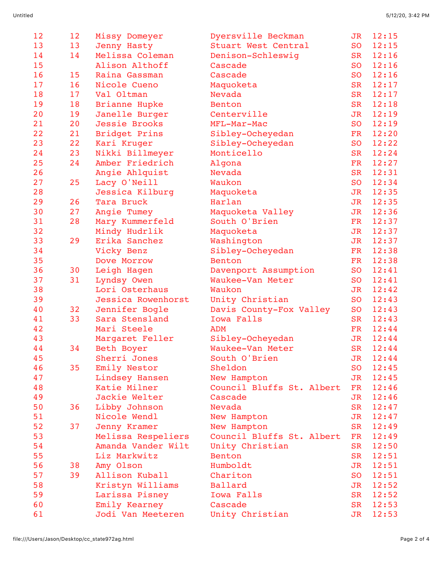| 12 | 12 | Missy Domeyer        | Dyersville Beckman        | JR          | 12:15    |
|----|----|----------------------|---------------------------|-------------|----------|
| 13 | 13 | Jenny Hasty          | Stuart West Central       | <b>SO</b>   | 12:15    |
| 14 | 14 | Melissa Coleman      | Denison-Schleswig         | <b>SR</b>   | 12:16    |
| 15 |    | Alison Althoff       | Cascade                   | <b>SO</b>   | 12:16    |
| 16 | 15 | Raina Gassman        | Cascade                   | <b>SO</b>   | 12:16    |
| 17 | 16 | Nicole Cueno         | Maquoketa                 | <b>SR</b>   | 12:17    |
| 18 | 17 | Val Oltman           | Nevada                    | <b>SR</b>   | 12:17    |
| 19 | 18 | <b>Brianne Hupke</b> | Benton                    | <b>SR</b>   | 12:18    |
| 20 | 19 | Janelle Burger       | Centerville               | <b>JR</b>   | 12:19    |
| 21 | 20 | Jessie Brooks        | MFL-Mar-Mac               | <b>SO</b>   | 12:19    |
| 22 | 21 | Bridget Prins        | Sibley-Ocheyedan          | <b>FR</b>   | 12:20    |
| 23 | 22 | Kari Kruger          | Sibley-Ocheyedan          | <b>SO</b>   | 12:22    |
| 24 | 23 | Nikki Billmeyer      | Monticello                | <b>SR</b>   | 12:24    |
| 25 | 24 | Amber Friedrich      | Algona                    | <b>FR</b>   | 12:27    |
| 26 |    | Angie Ahlquist       | Nevada                    | <b>SR</b>   | 12:31    |
| 27 | 25 | Lacy O'Neill         | Waukon                    | <b>SO</b>   | 12:34    |
| 28 |    | Jessica Kilburg      | Maquoketa                 | $J_{\rm R}$ | 12:35    |
| 29 | 26 | Tara Bruck           | Harlan                    | $J_{\rm R}$ | 12:35    |
| 30 | 27 | Angie Tumey          | Maquoketa Valley          | <b>JR</b>   | 12:36    |
| 31 | 28 | Mary Kummerfeld      | South O'Brien             | <b>FR</b>   | 12:37    |
| 32 |    | Mindy Hudrlik        | Maquoketa                 | <b>JR</b>   | 12:37    |
| 33 | 29 | Erika Sanchez        | Washington                | <b>JR</b>   | 12:37    |
| 34 |    | Vicky Benz           | Sibley-Ocheyedan          | <b>FR</b>   | 12:38    |
| 35 |    | Dove Morrow          | <b>Benton</b>             | FR          | 12:38    |
| 36 | 30 | Leigh Hagen          | Davenport Assumption      | <b>SO</b>   | 12:41    |
| 37 | 31 | Lyndsy Owen          | Waukee-Van Meter          | <b>SO</b>   | 12:41    |
| 38 |    | Lori Osterhaus       | Waukon                    | JR          | 12:42    |
| 39 |    | Jessica Rowenhorst   | Unity Christian           | <b>SO</b>   | 12:43    |
| 40 | 32 | Jennifer Bogle       | Davis County-Fox Valley   | <b>SO</b>   | 12:43    |
| 41 | 33 | Sara Stensland       | Iowa Falls                | <b>SR</b>   | 12:43    |
| 42 |    | Mari Steele          | ADM                       | FR          | 12:44    |
| 43 |    | Margaret Feller      | Sibley-Ocheyedan          | <b>JR</b>   | 12:44    |
| 44 | 34 | Beth Boyer           | Waukee-Van Meter          | <b>SR</b>   | 12:44    |
| 45 |    | Sherri Jones         | South O'Brien             | JR          | 12:44    |
| 46 | 35 | Emily Nestor         | Sheldon                   | <b>SO</b>   | 12:45    |
| 47 |    | Lindsey Hansen       | New Hampton               | JR          | 12:45    |
| 48 |    | Katie Milner         | Council Bluffs St. Albert | FR          | 12:46    |
| 49 |    | Jackie Welter        | Cascade                   |             | JR 12:46 |
| 50 | 36 | Libby Johnson        | Nevada                    | <b>SR</b>   | 12:47    |
| 51 |    | Nicole Wendl         | New Hampton               | JR          | 12:47    |
| 52 | 37 | Jenny Kramer         | New Hampton               | <b>SR</b>   | 12:49    |
| 53 |    | Melissa Respeliers   | Council Bluffs St. Albert | FR          | 12:49    |
| 54 |    | Amanda Vander Wilt   | Unity Christian           | <b>SR</b>   | 12:50    |
| 55 |    | Liz Markwitz         | Benton                    | <b>SR</b>   | 12:51    |
| 56 | 38 | Amy Olson            | Humboldt                  | JR          | 12:51    |
| 57 | 39 | Allison Kuball       | Chariton                  | <b>SO</b>   | 12:51    |
| 58 |    | Kristyn Williams     | Ballard                   | <b>JR</b>   | 12:52    |
| 59 |    | Larissa Pisney       | Iowa Falls                | <b>SR</b>   | 12:52    |
| 60 |    | Emily Kearney        | Cascade                   | <b>SR</b>   | 12:53    |
| 61 |    | Jodi Van Meeteren    | Unity Christian           | JR          | 12:53    |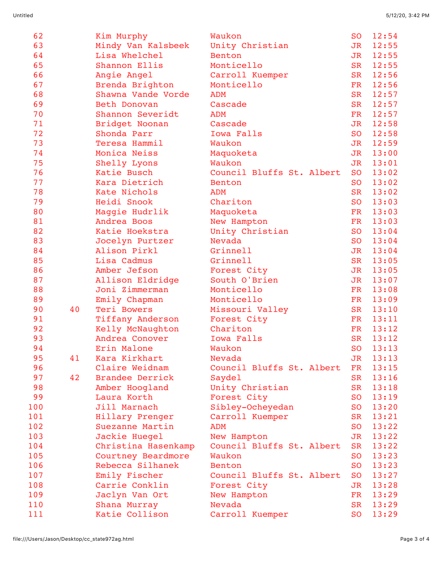| 62         |    | Kim Murphy                         | Waukon                                   | <b>SO</b>              | 12:54 |
|------------|----|------------------------------------|------------------------------------------|------------------------|-------|
| 63         |    | Mindy Van Kalsbeek                 | Unity Christian                          | <b>JR</b>              | 12:55 |
| 64         |    | Lisa Whelchel                      | Benton                                   | <b>JR</b>              | 12:55 |
| 65         |    | Shannon Ellis                      | Monticello                               | <b>SR</b>              | 12:55 |
| 66         |    | Angie Angel                        | Carroll Kuemper                          | <b>SR</b>              | 12:56 |
| 67         |    | Brenda Brighton                    | Monticello                               | FR                     | 12:56 |
| 68         |    | Shawna Vande Vorde                 | ADM                                      | <b>SR</b>              | 12:57 |
| 69         |    | Beth Donovan                       | Cascade                                  | <b>SR</b>              | 12:57 |
| 70         |    | Shannon Severidt                   | <b>ADM</b>                               | <b>FR</b>              | 12:57 |
| 71         |    | Bridget Noonan                     | Cascade                                  | <b>JR</b>              | 12:58 |
| 72         |    | Shonda Parr                        | Iowa Falls                               | <b>SO</b>              | 12:58 |
| 73         |    | Teresa Hammil                      | Waukon                                   | <b>JR</b>              | 12:59 |
| 74         |    | Monica Neiss                       | Maquoketa                                | <b>JR</b>              | 13:00 |
| 75         |    | Shelly Lyons                       | Waukon                                   | <b>JR</b>              | 13:01 |
| 76         |    | Katie Busch                        | Council Bluffs St. Albert                | <b>SO</b>              | 13:02 |
| 77         |    | Kara Dietrich                      | Benton                                   | <b>SO</b>              | 13:02 |
| 78         |    | Kate Nichols                       | <b>ADM</b>                               | <b>SR</b>              | 13:02 |
| 79         |    | Heidi Snook                        | Chariton                                 | <b>SO</b>              | 13:03 |
| 80         |    | Maggie Hudrlik                     | Maquoketa                                | <b>FR</b>              | 13:03 |
| 81         |    | Andrea Boos                        | New Hampton                              | <b>FR</b>              | 13:03 |
| 82         |    | Katie Hoekstra                     | Unity Christian                          | <b>SO</b>              | 13:04 |
| 83         |    | Jocelyn Purtzer                    | Nevada                                   | <b>SO</b>              | 13:04 |
| 84         |    | Alison Pirkl                       | Grinnell                                 | JR                     | 13:04 |
| 85         |    | Lisa Cadmus                        | Grinnell                                 | <b>SR</b>              | 13:05 |
| 86         |    | Amber Jefson                       | Forest City                              | <b>JR</b>              | 13:05 |
| 87         |    | Allison Eldridge                   | South O'Brien                            | <b>JR</b>              | 13:07 |
| 88         |    | Joni Zimmerman                     | Monticello                               | <b>FR</b>              | 13:08 |
| 89         |    | Emily Chapman                      | Monticello                               | <b>FR</b>              | 13:09 |
| 90         | 40 | Teri Bowers                        | Missouri Valley                          | <b>SR</b>              | 13:10 |
| 91         |    | Tiffany Anderson                   | Forest City                              | <b>FR</b>              | 13:11 |
| 92         |    | Kelly McNaughton                   | Chariton                                 | FR                     | 13:12 |
| 93         |    | Andrea Conover                     | Iowa Falls                               | <b>SR</b>              | 13:12 |
| 94         |    | Erin Malone                        | Waukon                                   | <b>SO</b>              | 13:13 |
| 95         | 41 | Kara Kirkhart                      | Nevada                                   | JR                     | 13:13 |
| 96         |    | Claire Weidnam                     | Council Bluffs St. Albert                | <b>FR</b>              | 13:15 |
| 97         | 42 | <b>Brandee Derrick</b>             | Saydel                                   | <b>SR</b>              | 13:16 |
| 98         |    | Amber Hoogland                     | Unity Christian                          | <b>SR</b>              | 13:18 |
| 99         |    | Laura Korth                        | Forest City                              | SO                     | 13:19 |
| 100        |    | Jill Marnach                       | Sibley-Ocheyedan                         | <b>SO</b>              | 13:20 |
| 101        |    |                                    |                                          | <b>SR</b>              | 13:21 |
| 102        |    | Hillary Prenger<br>Suezanne Martin | Carroll Kuemper<br>ADM                   | SO.                    | 13:22 |
|            |    |                                    |                                          |                        |       |
| 103<br>104 |    | Jackie Huegel                      | New Hampton<br>Council Bluffs St. Albert | JR                     | 13:22 |
|            |    | Christina Hasenkamp                |                                          | <b>SR</b><br><b>SO</b> | 13:22 |
| 105        |    | Courtney Beardmore                 | Waukon                                   |                        | 13:23 |
| 106        |    | Rebecca Silhanek                   | Benton                                   | <b>SO</b>              | 13:23 |
| 107        |    | Emily Fischer                      | Council Bluffs St. Albert                | S <sub>O</sub>         | 13:27 |
| 108        |    | Carrie Conklin                     | Forest City                              | JR                     | 13:28 |
| 109        |    | Jaclyn Van Ort                     | New Hampton                              | FR                     | 13:29 |
| 110        |    | Shana Murray                       | Nevada                                   | <b>SR</b>              | 13:29 |
| 111        |    | Katie Collison                     | Carroll Kuemper                          | <b>SO</b>              | 13:29 |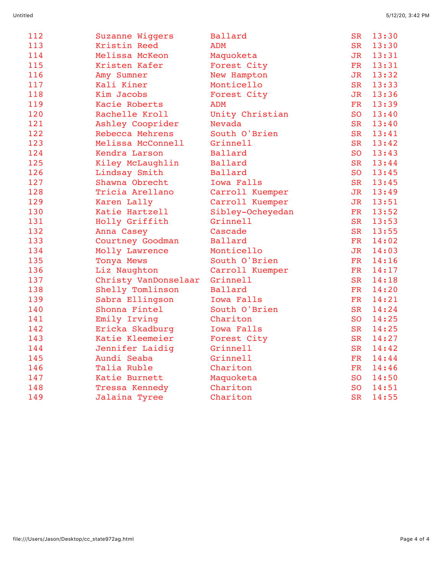| 112 | Suzanne Wiggers      | <b>Ballard</b>    | <b>SR</b>       | 13:30 |
|-----|----------------------|-------------------|-----------------|-------|
| 113 | Kristin Reed         | ADM               | <b>SR</b>       | 13:30 |
| 114 | Melissa McKeon       | Maquoketa         | JR              | 13:31 |
| 115 | Kristen Kafer        | Forest City       | FR              | 13:31 |
| 116 | Amy Sumner           | New Hampton       | J <sub>R</sub>  | 13:32 |
| 117 | Kali Kiner           | Monticello        | <b>SR</b>       | 13:33 |
| 118 | Kim Jacobs           | Forest City       | J <sub>R</sub>  | 13:36 |
| 119 | Kacie Roberts        | <b>ADM</b>        | FR              | 13:39 |
| 120 | Rachelle Kroll       | Unity Christian   | SO <sub>0</sub> | 13:40 |
| 121 | Ashley Cooprider     | Nevada            | <b>SR</b>       | 13:40 |
| 122 | Rebecca Mehrens      | South O'Brien     | <b>SR</b>       | 13:41 |
| 123 | Melissa McConnell    | Grinnell          | <b>SR</b>       | 13:42 |
| 124 | Kendra Larson        | Ballard           | <b>SO</b>       | 13:43 |
| 125 | Kiley McLaughlin     | Ballard           | <b>SR</b>       | 13:44 |
| 126 | Lindsay Smith        | Ballard           | <b>SO</b>       | 13:45 |
| 127 | Shawna Obrecht       | <b>Iowa Falls</b> | <b>SR</b>       | 13:45 |
| 128 | Tricia Arellano      | Carroll Kuemper   | JR              | 13:49 |
| 129 | Karen Lally          | Carroll Kuemper   | J <sub>R</sub>  | 13:51 |
| 130 | Katie Hartzell       | Sibley-Ocheyedan  | FR              | 13:52 |
| 131 | Holly Griffith       | Grinnell          | <b>SR</b>       | 13:53 |
| 132 | Anna Casey           | Cascade           | <b>SR</b>       | 13:55 |
| 133 | Courtney Goodman     | Ballard           | <b>FR</b>       | 14:02 |
| 134 | Molly Lawrence       | Monticello        | J <sub>R</sub>  | 14:03 |
| 135 | Tonya Mews           | South O'Brien     | <b>FR</b>       | 14:16 |
| 136 | Liz Naughton         | Carroll Kuemper   | FR              | 14:17 |
| 137 | Christy VanDonselaar | Grinnell          | <b>SR</b>       | 14:18 |
| 138 | Shelly Tomlinson     | Ballard           | FR              | 14:20 |
| 139 | Sabra Ellingson      | <b>Iowa Falls</b> | <b>FR</b>       | 14:21 |
| 140 | Shonna Fintel        | South O'Brien     | <b>SR</b>       | 14:24 |
| 141 | Emily Irving         | Chariton          | <b>SO</b>       | 14:25 |
| 142 | Ericka Skadburg      | Iowa Falls        | <b>SR</b>       | 14:25 |
| 143 | Katie Kleemeier      | Forest City       | <b>SR</b>       | 14:27 |
| 144 | Jennifer Laidig      | Grinnell          | <b>SR</b>       | 14:42 |
| 145 | Aundi Seaba          | Grinnell          | <b>FR</b>       | 14:44 |
| 146 | Talia Ruble          | Chariton          | FR              | 14:46 |
| 147 | Katie Burnett        | Maquoketa         | SO <sub>0</sub> | 14:50 |
| 148 | Tressa Kennedy       | Chariton          | <b>SO</b>       | 14:51 |
| 149 | Jalaina Tyree        | Chariton          | <b>SR</b>       | 14:55 |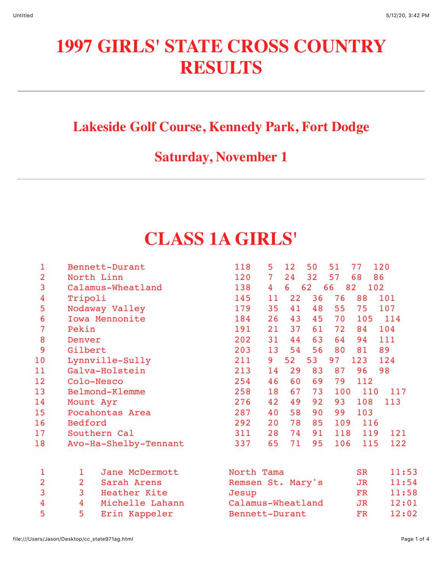# **1997 GIRLS' STATE CROSS COUNTRY RESULTS**

### **Lakeside Golf Course, Kennedy Park, Fort Dodge**

### **Saturday, November 1**

# **CLASS 1A GIRLS'**

| 1              | Bennett-Durant                 | 118<br>5<br>50<br>51<br>12<br>77<br>120             |
|----------------|--------------------------------|-----------------------------------------------------|
| 2              | North Linn                     | 120<br>32<br>57<br>$\overline{7}$<br>24<br>68<br>86 |
| 3              | Calamus-Wheatland              | 66<br>138<br>6<br>62<br>82<br>102<br>$\overline{4}$ |
| 4              | Tripoli                        | 36<br>76<br>88<br>101<br>145<br>11<br>22            |
| 5              | Nodaway Valley                 | 75<br>179<br>35<br>41<br>48<br>55<br>107            |
| 6              | Iowa Mennonite                 | 43<br>45<br>105<br>184<br>26<br>70<br>114           |
| 7              | Pekin                          | 104<br>191<br>37<br>72<br>21<br>61<br>84            |
| 8              | Denver                         | 202<br>44<br>63<br>111<br>31<br>64<br>94            |
| 9              | Gilbert                        | 89<br>203<br>13<br>54<br>56<br>80<br>81             |
| 10             | Lynnville-Sully                | 53<br>97<br>52<br>123<br>211<br>9<br>124            |
| 11             | Galva-Holstein                 | 83<br>87<br>98<br>213<br>29<br>96<br>14             |
| 12             | Colo-Nesco                     | 254<br>60<br>69<br>79<br>112<br>46                  |
| 13             | Belmond-Klemme                 | 258<br>67<br>73<br>100<br>110<br>117<br>18          |
| 14             | Mount Ayr                      | 108<br>276<br>49<br>92<br>93<br>113<br>42           |
| 15             | Pocahontas Area                | 58<br>103<br>287<br>40<br>90<br>99                  |
| 16             | Bedford                        | 109<br>292<br>78<br>85<br>116<br>20                 |
| 17             | Southern Cal                   | 118<br>311<br>74<br>91<br>121<br>28<br>119          |
| 18             | Avo-Ha-Shelby-Tennant          | 106<br>65<br>71<br>95<br>122<br>337<br>115          |
|                |                                |                                                     |
| $\mathbf 1$    | Jane McDermott<br>1            | 11:53<br>North Tama<br><b>SR</b>                    |
| $\overline{2}$ | $\overline{2}$<br>Sarah Arens  | Remsen St. Mary's<br>11:54<br>JR                    |
| 3              | $\overline{3}$<br>Heather Kite | 11:58<br><b>FR</b><br>Jesup                         |
| 4              | 4<br>Michelle Lahann           | Calamus-Wheatland<br>12:01<br>JR                    |
| 5              | 5<br>Erin Kappeler             | 12:02<br>FR<br>Bennett-Durant                       |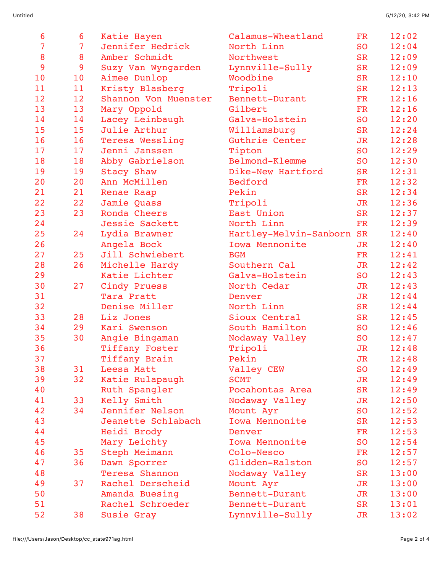| 6              | 6              | Katie Hayen          | Calamus-Wheatland         | <b>FR</b> | 12:02 |
|----------------|----------------|----------------------|---------------------------|-----------|-------|
| $\overline{7}$ | $\overline{7}$ | Jennifer Hedrick     | North Linn                | <b>SO</b> | 12:04 |
| 8              | 8              | Amber Schmidt        | Northwest                 | <b>SR</b> | 12:09 |
| 9              | 9              | Suzy Van Wyngarden   | Lynnville-Sully           | <b>SR</b> | 12:09 |
| 10             | 10             | Aimee Dunlop         | Woodbine                  | <b>SR</b> | 12:10 |
| 11             | 11             | Kristy Blasberg      | Tripoli                   | <b>SR</b> | 12:13 |
| 12             | 12             | Shannon Von Muenster | Bennett-Durant            | FR        | 12:16 |
| 13             | 13             | Mary Oppold          | Gilbert                   | <b>FR</b> | 12:16 |
| 14             | 14             | Lacey Leinbaugh      | Galva-Holstein            | <b>SO</b> | 12:20 |
| 15             | 15             | Julie Arthur         | Williamsburg              | <b>SR</b> | 12:24 |
| 16             | 16             | Teresa Wessling      | Guthrie Center            | JR        | 12:28 |
| 17             | 17             | Jenni Janssen        | Tipton                    | <b>SO</b> | 12:29 |
| 18             | 18             | Abby Gabrielson      | Belmond-Klemme            | <b>SO</b> | 12:30 |
| 19             | 19             | Stacy Shaw           | Dike-New Hartford         | <b>SR</b> | 12:31 |
| 20             | 20             | Ann McMillen         | Bedford                   | <b>FR</b> | 12:32 |
| 21             | 21             | Renae Raap           | Pekin                     | <b>SR</b> | 12:34 |
| 22             | 22             | Jamie Quass          | Tripoli                   | JR        | 12:36 |
| 23             | 23             | Ronda Cheers         | East Union                | <b>SR</b> | 12:37 |
| 24             |                | Jessie Sackett       | North Linn                | FR        | 12:39 |
| 25             | 24             | Lydia Brawner        | Hartley-Melvin-Sanborn SR |           | 12:40 |
| 26             |                | Angela Bock          | Iowa Mennonite            | JR        | 12:40 |
| 27             | 25             | Jill Schwiebert      | <b>BGM</b>                | <b>FR</b> | 12:41 |
| 28             | 26             | Michelle Hardy       | Southern Cal              | JR        | 12:42 |
| 29             |                | Katie Lichter        | Galva-Holstein            | <b>SO</b> | 12:43 |
| 30             | 27             | Cindy Pruess         | North Cedar               | JR        | 12:43 |
| 31             |                | Tara Pratt           | Denver                    | JR        | 12:44 |
| 32             |                | Denise Miller        | North Linn                | <b>SR</b> | 12:44 |
| 33             | 28             | Liz Jones            | Sioux Central             | <b>SR</b> | 12:45 |
| 34             | 29             | Kari Swenson         | South Hamilton            | <b>SO</b> | 12:46 |
| 35             | 30             | Angie Bingaman       | Nodaway Valley            | <b>SO</b> | 12:47 |
| 36             |                | Tiffany Foster       | Tripoli                   | <b>JR</b> | 12:48 |
| 37             |                | Tiffany Brain        | Pekin                     | JR        | 12:48 |
| 38             | 31             | Leesa Matt           | Valley CEW                | <b>SO</b> | 12:49 |
| 39             | 32             | Katie Rulapaugh      | <b>SCMT</b>               | JR        | 12:49 |
| 40             |                | Ruth Spangler        | Pocahontas Area           | <b>SR</b> | 12:49 |
| 41             | 33             | Kelly Smith          | Nodaway Valley            | JR        | 12:50 |
| 42             | 34             | Jennifer Nelson      | Mount Ayr                 | <b>SO</b> | 12:52 |
| 43             |                | Jeanette Schlabach   | Iowa Mennonite            | <b>SR</b> | 12:53 |
| 44             |                | Heidi Brody          | Denver                    | FR        | 12:53 |
| 45             |                | Mary Leichty         | Iowa Mennonite            | <b>SO</b> | 12:54 |
| 46             | 35             | Steph Meimann        | Colo-Nesco                | FR        | 12:57 |
| 47             | 36             | Dawn Sporrer         | Glidden-Ralston           | <b>SO</b> | 12:57 |
| 48             |                | Teresa Shannon       | Nodaway Valley            | <b>SR</b> | 13:00 |
| 49             | 37             | Rachel Derscheid     | Mount Ayr                 | JR        | 13:00 |
| 50             |                | Amanda Buesing       | Bennett-Durant            | <b>JR</b> | 13:00 |
| 51<br>52       |                | Rachel Schroeder     | Bennett-Durant            | <b>SR</b> | 13:01 |
|                | 38             | Susie Gray           | Lynnville-Sully           | JR        | 13:02 |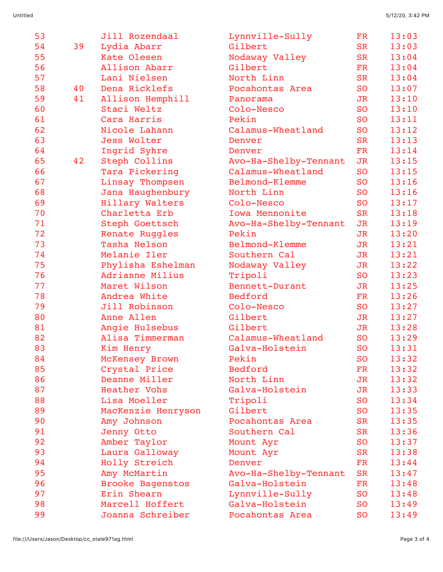| 53 |    | Jill Rozendaal          | Lynnville-Sully       | <b>FR</b> | 13:03 |
|----|----|-------------------------|-----------------------|-----------|-------|
| 54 | 39 | Lydia Abarr             | Gilbert               | <b>SR</b> | 13:03 |
| 55 |    | Kate Olesen             | Nodaway Valley        | <b>SR</b> | 13:04 |
| 56 |    | Allison Abarr           | Gilbert               | <b>FR</b> | 13:04 |
| 57 |    | Lani Nielsen            | North Linn            | <b>SR</b> | 13:04 |
| 58 | 40 | Dena Ricklefs           | Pocahontas Area       | <b>SO</b> | 13:07 |
| 59 | 41 | Allison Hemphill        | Panorama              | <b>JR</b> | 13:10 |
| 60 |    | Staci Weltz             | Colo-Nesco            | <b>SO</b> | 13:10 |
| 61 |    | Cara Harris             | Pekin                 | <b>SO</b> | 13:11 |
| 62 |    | Nicole Lahann           | Calamus-Wheatland     | <b>SO</b> | 13:12 |
| 63 |    | Jess Wolter             | Denver                | <b>SR</b> | 13:13 |
| 64 |    | Ingrid Syhre            | Denver                | <b>FR</b> | 13:14 |
| 65 | 42 | Steph Collins           | Avo-Ha-Shelby-Tennant | <b>JR</b> | 13:15 |
| 66 |    | Tara Pickering          | Calamus-Wheatland     | <b>SO</b> | 13:15 |
| 67 |    | Linsay Thompsen         | Belmond-Klemme        | <b>SO</b> | 13:16 |
| 68 |    | Jana Haughenbury        | North Linn            | <b>SO</b> | 13:16 |
| 69 |    | Hillary Walters         | Colo-Nesco            | <b>SO</b> | 13:17 |
| 70 |    | Charletta Erb           | Iowa Mennonite        | <b>SR</b> | 13:18 |
| 71 |    | Steph Goettsch          | Avo-Ha-Shelby-Tennant | JR        | 13:19 |
| 72 |    | Renate Ruggles          | Pekin                 | JR        | 13:20 |
| 73 |    | Tasha Nelson            | Belmond-Klemme        | <b>JR</b> | 13:21 |
| 74 |    | Melanie Iler            | Southern Cal          | <b>JR</b> | 13:21 |
| 75 |    | Phylisha Eshelman       | Nodaway Valley        | JR        | 13:22 |
| 76 |    | Adrianne Milius         | Tripoli               | <b>SO</b> | 13:23 |
| 77 |    | Maret Wilson            | Bennett-Durant        | JR        | 13:25 |
| 78 |    | Andrea White            | Bedford               | FR        | 13:26 |
| 79 |    | Jill Robinson           | Colo-Nesco            | <b>SO</b> | 13:27 |
| 80 |    | Anne Allen              | Gilbert               | JR        | 13:27 |
| 81 |    | Angie Hulsebus          | Gilbert               | JR        | 13:28 |
| 82 |    | Alisa Timmerman         | Calamus-Wheatland     | <b>SO</b> | 13:29 |
| 83 |    | Kim Henry               | Galva-Holstein        | <b>SO</b> | 13:31 |
| 84 |    | McKensey Brown          | Pekin                 | <b>SO</b> | 13:32 |
| 85 |    | Crystal Price           | Bedford               | FR        | 13:32 |
| 86 |    | Deanne Miller           | North Linn            | JR        | 13:32 |
| 87 |    | Heather Vohs            | Galva-Holstein        | JR        | 13:33 |
| 88 |    | Lisa Moeller            | Tripoli               | <b>SO</b> | 13:34 |
| 89 |    | MacKenzie Henryson      | Gilbert               | <b>SO</b> | 13:35 |
| 90 |    | Amy Johnson             | Pocahontas Area       | <b>SR</b> | 13:35 |
| 91 |    | Jenny Otto              | Southern Cal          | <b>SR</b> | 13:36 |
| 92 |    | Amber Taylor            | Mount Ayr             | <b>SO</b> | 13:37 |
| 93 |    | Laura Galloway          | Mount Ayr             | SR        | 13:38 |
| 94 |    | Holly Streich           | Denver                | <b>FR</b> | 13:44 |
| 95 |    | Amy McMartin            | Avo-Ha-Shelby-Tennant | <b>SR</b> | 13:47 |
| 96 |    | <b>Brooke Bagenstos</b> | Galva-Holstein        | <b>FR</b> | 13:48 |
| 97 |    | Erin Shearn             | Lynnville-Sully       | <b>SO</b> | 13:48 |
| 98 |    | Marcell Hoffert         | Galva-Holstein        | <b>SO</b> | 13:49 |
| 99 |    | Joanna Schreiber        | Pocahontas Area       | <b>SO</b> | 13:49 |